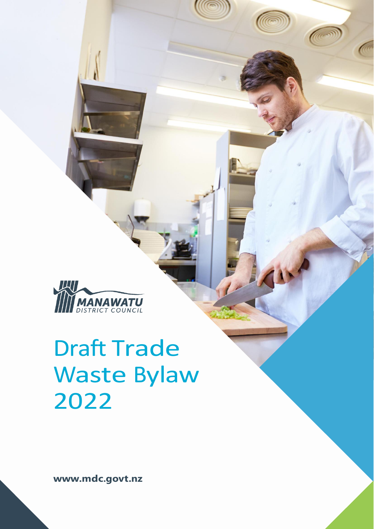

# Draft Trade Waste Bylaw 2022

**www.mdc.govt.nz**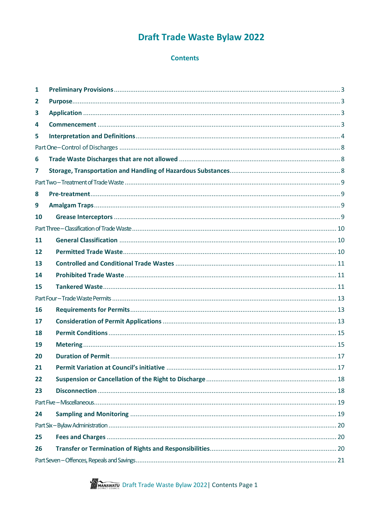# **Draft Trade Waste Bylaw 2022**

## **Contents**

<span id="page-1-1"></span><span id="page-1-0"></span>

| 1  |  |
|----|--|
| 2  |  |
| 3  |  |
| 4  |  |
| 5  |  |
|    |  |
| 6  |  |
| 7  |  |
|    |  |
| 8  |  |
| 9  |  |
| 10 |  |
|    |  |
| 11 |  |
| 12 |  |
| 13 |  |
| 14 |  |
| 15 |  |
|    |  |
| 16 |  |
| 17 |  |
| 18 |  |
| 19 |  |
| 20 |  |
| 21 |  |
| 22 |  |
| 23 |  |
|    |  |
| 24 |  |
|    |  |
| 25 |  |
| 26 |  |
|    |  |

**THE MANAWATE** Draft Trade Waste Bylaw 2022 | Contents Page 1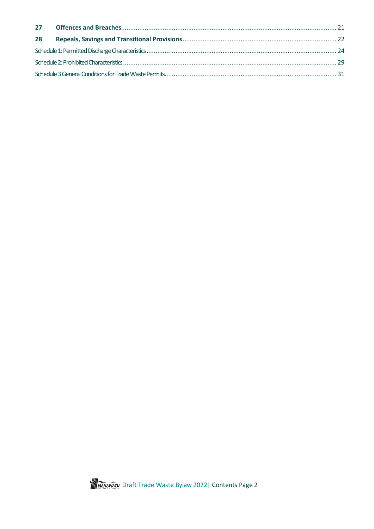| 28 |  |  |
|----|--|--|
|    |  |  |
|    |  |  |
|    |  |  |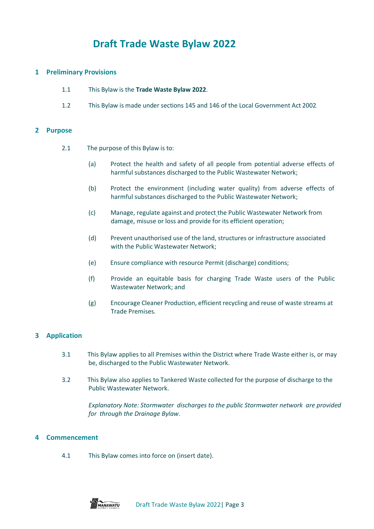## **Draft Trade Waste Bylaw 2022**

## <span id="page-3-0"></span>**1 Preliminary Provisions**

- 1.1 This Bylaw is the **Trade Waste Bylaw 2022**.
- 1.2 This Bylaw is made under sections 145 and 146 of the Local Government Act 2002.

#### <span id="page-3-1"></span>**2 Purpose**

- 2.1 The purpose of this Bylaw is to:
	- (a) Protect the health and safety of all people from potential adverse effects of harmful substances discharged to the Public Wastewater Network;
	- (b) Protect the environment (including water quality) from adverse effects of harmful substances discharged to the Public Wastewater Network;
	- (c) Manage, regulate against and protect the Public Wastewater Network from damage, misuse or loss and provide for its efficient operation;
	- (d) Prevent unauthorised use of the land, structures or infrastructure associated with the Public Wastewater Network;
	- (e) Ensure compliance with resource Permit (discharge) conditions;
	- (f) Provide an equitable basis for charging Trade Waste users of the Public Wastewater Network; and
	- (g) Encourage Cleaner Production, efficient recycling and reuse of waste streams at Trade Premises.

## <span id="page-3-2"></span>**3 Application**

- 3.1 This Bylaw applies to all Premises within the District where Trade Waste either is, or may be, discharged to the Public Wastewater Network.
- 3.2 This Bylaw also applies to Tankered Waste collected for the purpose of discharge to the Public Wastewater Network.

*Explanatory Note: Stormwater discharges to the public Stormwater network are provided for through the Drainage Bylaw*.

## <span id="page-3-3"></span>**4 Commencement**

4.1 This Bylaw comes into force on (insert date).

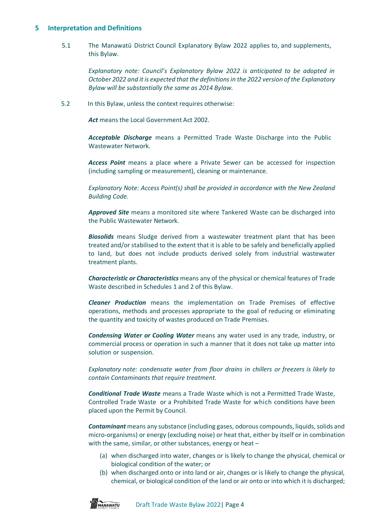## <span id="page-4-0"></span>**5 Interpretation and Definitions**

5.1 The Manawatū District Council Explanatory Bylaw 2022 applies to, and supplements, this Bylaw.

*Explanatory note: Council's Explanatory Bylaw 2022 is anticipated to be adopted in October 2022 and it is expected that the definitions in the 2022 version of the Explanatory Bylaw will be substantially the same as 2014 Bylaw.*

5.2 In this Bylaw, unless the context requires otherwise:

Act means the Local Government Act 2002.

*Acceptable Discharge* means a Permitted Trade Waste Discharge into the Public Wastewater Network.

*Access Point* means a place where a Private Sewer can be accessed for inspection (including sampling or measurement), cleaning or maintenance.

*Explanatory Note: Access Point(s) shall be provided in accordance with the New Zealand Building Code.*

*Approved Site* means a monitored site where Tankered Waste can be discharged into the Public Wastewater Network.

*Biosolids* means Sludge derived from a wastewater treatment plant that has been treated and/or stabilised to the extent that it is able to be safely and beneficially applied to land, but does not include products derived solely from industrial wastewater treatment plants.

*Characteristic or Characteristics* means any of the physical or chemical features of Trade Waste described in Schedules 1 and 2 of this Bylaw.

*Cleaner Production* means the implementation on Trade Premises of effective operations, methods and processes appropriate to the goal of reducing or eliminating the quantity and toxicity of wastes produced on Trade Premises.

*Condensing Water or Cooling Water* means any water used in any trade, industry, or commercial process or operation in such a manner that it does not take up matter into solution or suspension.

*Explanatory note: condensate water from floor drains in chillers or freezers is likely to contain Contaminants that require treatment.*

*Conditional Trade Waste* means a Trade Waste which is not a Permitted Trade Waste, Controlled Trade Waste or a Prohibited Trade Waste for which conditions have been placed upon the Permit by Council.

*Contaminant* means any substance (including gases, odorous compounds, liquids, solids and micro-organisms) or energy (excluding noise) or heat that, either by itself or in combination with the same, similar, or other substances, energy or heat -

- (a) when discharged into water, changes or is likely to change the physical, chemical or biological condition of the water; or
- (b) when discharged onto or into land or air, changes or is likely to change the physical, chemical, or biological condition of the land or air onto or into which it is discharged;

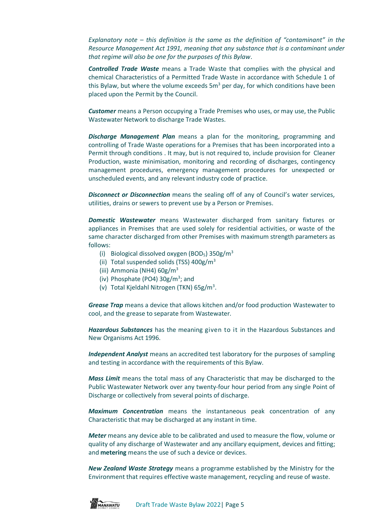*Explanatory note – this definition is the same as the definition of "contaminant" in the Resource Management Act 1991, meaning that any substance that is a contaminant under that regime will also be one for the purposes of this Bylaw*.

*Controlled Trade Waste* means a Trade Waste that complies with the physical and chemical Characteristics of a Permitted Trade Waste in accordance with Schedule 1 of this Bylaw, but where the volume exceeds  $5m<sup>3</sup>$  per day, for which conditions have been placed upon the Permit by the Council.

*Customer* means a Person occupying a Trade Premises who uses, or may use, the Public Wastewater Network to discharge Trade Wastes.

*Discharge Management Plan* means a plan for the monitoring, programming and controlling of Trade Waste operations for a Premises that has been incorporated into a Permit through conditions . It may, but is not required to, include provision for Cleaner Production, waste minimisation, monitoring and recording of discharges, contingency management procedures, emergency management procedures for unexpected or unscheduled events, and any relevant industry code of practice.

*Disconnect or Disconnection* means the sealing off of any of Council's water services, utilities, drains or sewers to prevent use by a Person or Premises.

*Domestic Wastewater* means Wastewater discharged from sanitary fixtures or appliances in Premises that are used solely for residential activities, or waste of the same character discharged from other Premises with maximum strength parameters as follows:

- (i) Biological dissolved oxygen (BOD<sub>5</sub>) 350g/m<sup>3</sup>
- (ii) Total suspended solids (TSS)  $400g/m<sup>3</sup>$
- (iii) Ammonia (NH4) 60g/m<sup>3</sup>
- (iv) Phosphate (PO4) 30g/m<sup>3</sup>; and
- (v) Total Kjeldahl Nitrogen (TKN) 65g/m<sup>3</sup>.

*Grease Trap* means a device that allows kitchen and/or food production Wastewater to cool, and the grease to separate from Wastewater.

*Hazardous Substances* has the meaning given to it in the Hazardous Substances and New Organisms Act 1996.

*Independent Analyst* means an accredited test laboratory for the purposes of sampling and testing in accordance with the requirements of this Bylaw.

*Mass Limit* means the total mass of any Characteristic that may be discharged to the Public Wastewater Network over any twenty-four hour period from any single Point of Discharge or collectively from several points of discharge.

*Maximum Concentration* means the instantaneous peak concentration of any Characteristic that may be discharged at any instant in time.

*Meter* means any device able to be calibrated and used to measure the flow, volume or quality of any discharge of Wastewater and any ancillary equipment, devices and fitting; and **metering** means the use of such a device or devices.

*New Zealand Waste Strategy* means a programme established by the Ministry for the Environment that requires effective waste management, recycling and reuse of waste.

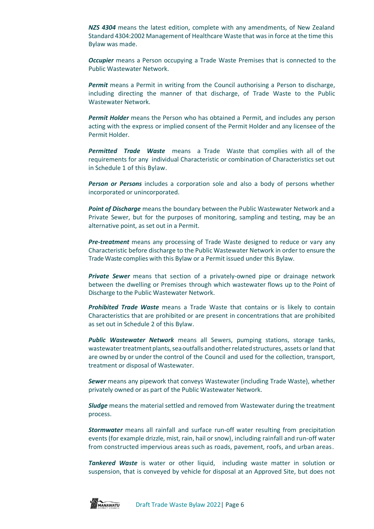*NZS 4304* means the latest edition, complete with any amendments, of New Zealand Standard 4304:2002 Management of Healthcare Waste that was in force at the time this Bylaw was made.

*Occupier* means a Person occupying a Trade Waste Premises that is connected to the Public Wastewater Network.

*Permit* means a Permit in writing from the Council authorising a Person to discharge, including directing the manner of that discharge, of Trade Waste to the Public Wastewater Network.

*Permit Holder* means the Person who has obtained a Permit, and includes any person acting with the express or implied consent of the Permit Holder and any licensee of the Permit Holder.

*Permitted Trade Waste* means a Trade Waste that complies with all of the requirements for any individual Characteristic or combination of Characteristics set out in Schedule 1 of this Bylaw.

*Person or Persons* includes a corporation sole and also a body of persons whether incorporated or unincorporated.

*Point of Discharge* means the boundary between the Public Wastewater Network and a Private Sewer, but for the purposes of monitoring, sampling and testing, may be an alternative point, as set out in a Permit.

*Pre-treatment* means any processing of Trade Waste designed to reduce or vary any Characteristic before discharge to the Public Wastewater Network in order to ensure the Trade Waste complies with this Bylaw or a Permit issued under this Bylaw.

*Private Sewer* means that section of a privately-owned pipe or drainage network between the dwelling or Premises through which wastewater flows up to the Point of Discharge to the Public Wastewater Network.

*Prohibited Trade Waste* means a Trade Waste that contains or is likely to contain Characteristics that are prohibited or are present in concentrations that are prohibited as set out in Schedule 2 of this Bylaw.

*Public Wastewater Network* means all Sewers, pumping stations, storage tanks, wastewater treatment plants, sea outfalls and other related structures, assets or land that are owned by or under the control of the Council and used for the collection, transport, treatment or disposal of Wastewater.

*Sewer* means any pipework that conveys Wastewater (including Trade Waste), whether privately owned or as part of the Public Wastewater Network.

*Sludge* means the material settled and removed from Wastewater during the treatment process.

*Stormwater* means all rainfall and surface run-off water resulting from precipitation events (for example drizzle, mist, rain, hail or snow), including rainfall and run-off water from constructed impervious areas such as roads, pavement, roofs, and urban areas.

*Tankered Waste* is water or other liquid, including waste matter in solution or suspension, that is conveyed by vehicle for disposal at an Approved Site, but does not

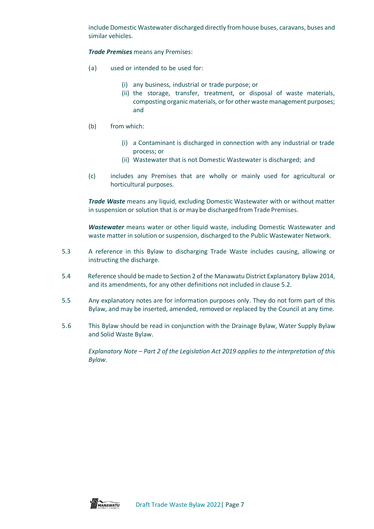include Domestic Wastewater discharged directly from house buses, caravans, buses and similar vehicles.

*Trade Premises* means any Premises:

- (a) used or intended to be used for:
	- (i) any business, industrial or trade purpose; or
	- (ii) the storage, transfer, treatment, or disposal of waste materials, composting organic materials, or for other waste management purposes; and
- (b) from which:
	- (i) a Contaminant is discharged in connection with any industrial or trade process; or
	- (ii) Wastewater that is not Domestic Wastewater is discharged; and
- (c) includes any Premises that are wholly or mainly used for agricultural or horticultural purposes.

*Trade Waste* means any liquid, excluding Domestic Wastewater with or without matter in suspension or solution that is or may be discharged from Trade Premises.

*Wastewater* means water or other liquid waste, including Domestic Wastewater and waste matter in solution or suspension, discharged to the Public Wastewater Network.

- 5.3 A reference in this Bylaw to discharging Trade Waste includes causing, allowing or instructing the discharge.
- 5.4 Reference should be made to Section 2 of the Manawatu District Explanatory Bylaw 2014, and its amendments, for any other definitions not included in clause 5.2.
- 5.5 Any explanatory notes are for information purposes only. They do not form part of this Bylaw, and may be inserted, amended, removed or replaced by the Council at any time.
- 5.6 This Bylaw should be read in conjunction with the Drainage Bylaw, Water Supply Bylaw and Solid Waste Bylaw.

*Explanatory Note – Part 2 of the Legislation Act 2019 applies to the interpretation of this Bylaw.*

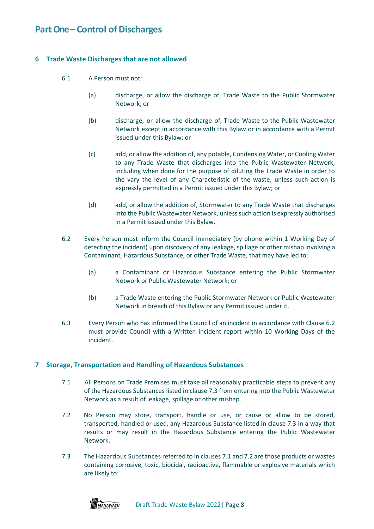## <span id="page-8-0"></span>**Part One – Control of Discharges**

## <span id="page-8-1"></span>**6 Trade Waste Discharges that are not allowed**

- 6.1 A Person must not:
	- (a) discharge, or allow the discharge of, Trade Waste to the Public Stormwater Network; or
	- (b) discharge, or allow the discharge of, Trade Waste to the Public Wastewater Network except in accordance with this Bylaw or in accordance with a Permit issued under this Bylaw; or
	- (c) add, or allow the addition of, any potable, Condensing Water, or Cooling Water to any Trade Waste that discharges into the Public Wastewater Network, including when done for the purpose of diluting the Trade Waste in order to the vary the level of any Characteristic of the waste, unless such action is expressly permitted in a Permit issued under this Bylaw; or
	- (d) add, or allow the addition of, Stormwater to any Trade Waste that discharges into the Public Wastewater Network, unless such action is expressly authorised in a Permit issued under this Bylaw.
- 6.2 Every Person must inform the Council immediately (by phone within 1 Working Day of detecting the incident) upon discovery of any leakage, spillage or other mishap involving a Contaminant, Hazardous Substance, or other Trade Waste, that may have led to:
	- (a) a Contaminant or Hazardous Substance entering the Public Stormwater Network or Public Wastewater Network; or
	- (b) a Trade Waste entering the Public Stormwater Network or Public Wastewater Network in breach of this Bylaw or any Permit issued under it.
- 6.3 Every Person who has informed the Council of an incident in accordance with Clause 6.2 must provide Council with a Written incident report within 10 Working Days of the incident.

## <span id="page-8-2"></span>**7 Storage, Transportation and Handling of Hazardous Substances**

- 7.1 All Persons on Trade Premises must take all reasonably practicable steps to prevent any of the Hazardous Substances listed in clause 7.3 from entering into the Public Wastewater Network as a result of leakage, spillage or other mishap.
- 7.2 No Person may store, transport, handle or use, or cause or allow to be stored, transported, handled or used, any Hazardous Substance listed in clause 7.3 in a way that results or may result in the Hazardous Substance entering the Public Wastewater Network.
- 7.3 The Hazardous Substances referred to in clauses 7.1 and 7.2 are those products or wastes containing corrosive, toxic, biocidal, radioactive, flammable or explosive materials which are likely to:

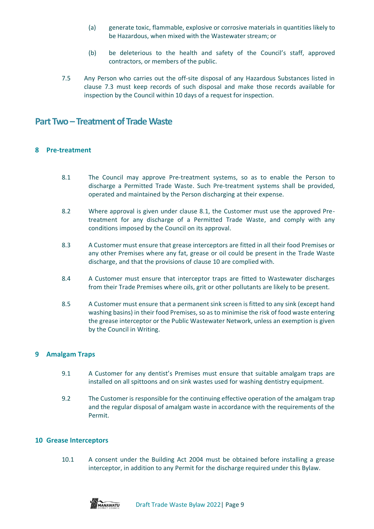- (a) generate toxic, flammable, explosive or corrosive materials in quantities likely to be Hazardous, when mixed with the Wastewater stream; or
- (b) be deleterious to the health and safety of the Council's staff, approved contractors, or members of the public.
- 7.5 Any Person who carries out the off-site disposal of any Hazardous Substances listed in clause 7.3 must keep records of such disposal and make those records available for inspection by the Council within 10 days of a request for inspection.

## <span id="page-9-0"></span>**Part Two – Treatment of Trade Waste**

## <span id="page-9-1"></span>**8 Pre-treatment**

- 8.1 The Council may approve Pre-treatment systems, so as to enable the Person to discharge a Permitted Trade Waste. Such Pre-treatment systems shall be provided, operated and maintained by the Person discharging at their expense.
- 8.2 Where approval is given under clause 8.1, the Customer must use the approved Pretreatment for any discharge of a Permitted Trade Waste, and comply with any conditions imposed by the Council on its approval.
- 8.3 A Customer must ensure that grease interceptors are fitted in all their food Premises or any other Premises where any fat, grease or oil could be present in the Trade Waste discharge, and that the provisions of clause 10 are complied with.
- 8.4 A Customer must ensure that interceptor traps are fitted to Wastewater discharges from their Trade Premises where oils, grit or other pollutants are likely to be present.
- 8.5 A Customer must ensure that a permanent sink screen is fitted to any sink (except hand washing basins) in their food Premises, so as to minimise the risk of food waste entering the grease interceptor or the Public Wastewater Network, unless an exemption is given by the Council in Writing.

## <span id="page-9-2"></span>**9 Amalgam Traps**

- 9.1 A Customer for any dentist's Premises must ensure that suitable amalgam traps are installed on all spittoons and on sink wastes used for washing dentistry equipment.
- 9.2 The Customer is responsible for the continuing effective operation of the amalgam trap and the regular disposal of amalgam waste in accordance with the requirements of the Permit.

## <span id="page-9-3"></span>**10 Grease Interceptors**

10.1 A consent under the Building Act 2004 must be obtained before installing a grease interceptor, in addition to any Permit for the discharge required under this Bylaw.

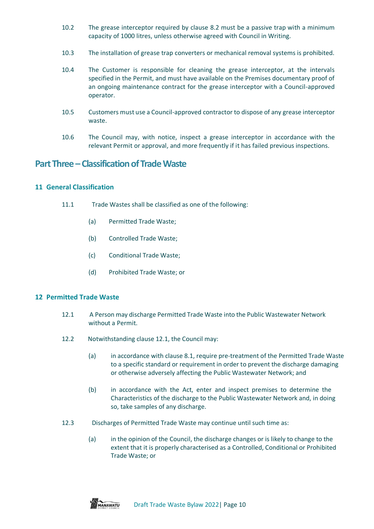- 10.2 The grease interceptor required by clause 8.2 must be a passive trap with a minimum capacity of 1000 litres, unless otherwise agreed with Council in Writing.
- 10.3 The installation of grease trap converters or mechanical removal systems is prohibited.
- 10.4 The Customer is responsible for cleaning the grease interceptor, at the intervals specified in the Permit, and must have available on the Premises documentary proof of an ongoing maintenance contract for the grease interceptor with a Council-approved operator.
- 10.5 Customers must use a Council-approved contractor to dispose of any grease interceptor waste.
- 10.6 The Council may, with notice, inspect a grease interceptor in accordance with the relevant Permit or approval, and more frequently if it has failed previous inspections.

## <span id="page-10-0"></span>**Part Three –Classification of Trade Waste**

## <span id="page-10-1"></span>**11 General Classification**

- 11.1 Trade Wastes shall be classified as one of the following:
	- (a) Permitted Trade Waste;
	- (b) Controlled Trade Waste;
	- (c) Conditional Trade Waste;
	- (d) Prohibited Trade Waste; or

## <span id="page-10-2"></span>**12 Permitted Trade Waste**

- 12.1 A Person may discharge Permitted Trade Waste into the Public Wastewater Network without a Permit.
- 12.2 Notwithstanding clause 12.1, the Council may:
	- (a) in accordance with clause 8.1, require pre-treatment of the Permitted Trade Waste to a specific standard or requirement in order to prevent the discharge damaging or otherwise adversely affecting the Public Wastewater Network; and
	- (b) in accordance with the Act, enter and inspect premises to determine the Characteristics of the discharge to the Public Wastewater Network and, in doing so, take samples of any discharge.
- 12.3 Discharges of Permitted Trade Waste may continue until such time as:
	- (a) in the opinion of the Council, the discharge changes or is likely to change to the extent that it is properly characterised as a Controlled, Conditional or Prohibited Trade Waste; or

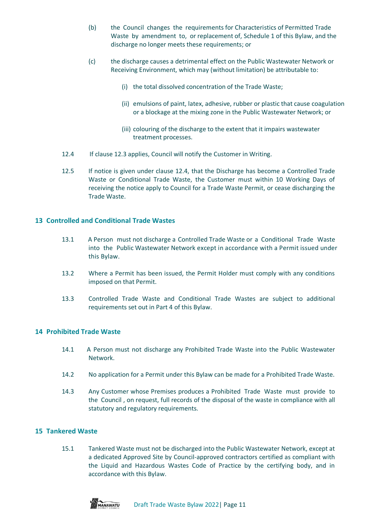- (b) the Council changes the requirements for Characteristics of Permitted Trade Waste by amendment to, or replacement of, Schedule 1 of this Bylaw, and the discharge no longer meets these requirements; or
- (c) the discharge causes a detrimental effect on the Public Wastewater Network or Receiving Environment, which may (without limitation) be attributable to:
	- (i) the total dissolved concentration of the Trade Waste;
	- (ii) emulsions of paint, latex, adhesive, rubber or plastic that cause coagulation or a blockage at the mixing zone in the Public Wastewater Network; or
	- (iii) colouring of the discharge to the extent that it impairs wastewater treatment processes.
- 12.4 If clause 12.3 applies, Council will notify the Customer in Writing.
- 12.5 If notice is given under clause 12.4, that the Discharge has become a Controlled Trade Waste or Conditional Trade Waste, the Customer must within 10 Working Days of receiving the notice apply to Council for a Trade Waste Permit, or cease discharging the Trade Waste.

## <span id="page-11-0"></span>**13 Controlled and Conditional Trade Wastes**

- 13.1 A Person must not discharge a Controlled Trade Waste or a Conditional Trade Waste into the Public Wastewater Network except in accordance with a Permit issued under this Bylaw.
- 13.2 Where a Permit has been issued, the Permit Holder must comply with any conditions imposed on that Permit.
- 13.3 Controlled Trade Waste and Conditional Trade Wastes are subject to additional requirements set out in Part 4 of this Bylaw.

## <span id="page-11-1"></span>**14 Prohibited Trade Waste**

- 14.1 A Person must not discharge any Prohibited Trade Waste into the Public Wastewater Network.
- 14.2 No application for a Permit under this Bylaw can be made for a Prohibited Trade Waste.
- 14.3 Any Customer whose Premises produces a Prohibited Trade Waste must provide to the Council , on request, full records of the disposal of the waste in compliance with all statutory and regulatory requirements.

#### <span id="page-11-2"></span>**15 Tankered Waste**

15.1 Tankered Waste must not be discharged into the Public Wastewater Network, except at a dedicated Approved Site by Council-approved contractors certified as compliant with the Liquid and Hazardous Wastes Code of Practice by the certifying body, and in accordance with this Bylaw.

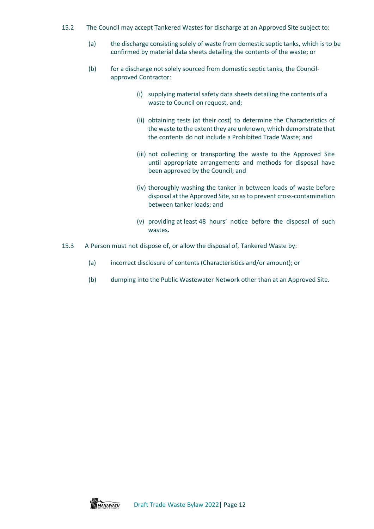- 15.2 The Council may accept Tankered Wastes for discharge at an Approved Site subject to:
	- (a) the discharge consisting solely of waste from domestic septic tanks, which is to be confirmed by material data sheets detailing the contents of the waste; or
	- (b) for a discharge not solely sourced from domestic septic tanks, the Councilapproved Contractor:
		- (i) supplying material safety data sheets detailing the contents of a waste to Council on request, and;
		- (ii) obtaining tests (at their cost) to determine the Characteristics of the waste to the extent they are unknown, which demonstrate that the contents do not include a Prohibited Trade Waste; and
		- (iii) not collecting or transporting the waste to the Approved Site until appropriate arrangements and methods for disposal have been approved by the Council; and
		- (iv) thoroughly washing the tanker in between loads of waste before disposal at the Approved Site, so as to prevent cross-contamination between tanker loads; and
		- (v) providing at least 48 hours' notice before the disposal of such wastes.
- 15.3 A Person must not dispose of, or allow the disposal of, Tankered Waste by:
	- (a) incorrect disclosure of contents (Characteristics and/or amount); or
	- (b) dumping into the Public Wastewater Network other than at an Approved Site.

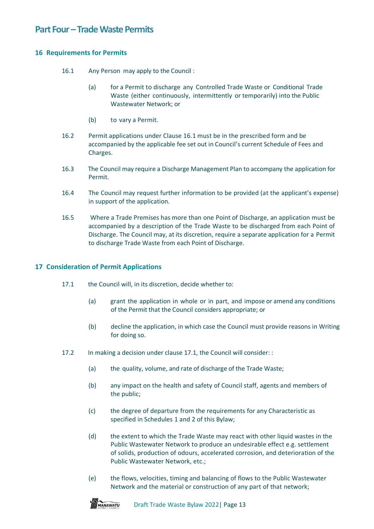## <span id="page-13-0"></span>**Part Four –Trade Waste Permits**

## <span id="page-13-1"></span>**16 Requirements for Permits**

- 16.1 Any Person may apply to the Council :
	- (a) for a Permit to discharge any Controlled Trade Waste or Conditional Trade Waste (either continuously, intermittently or temporarily) into the Public Wastewater Network; or
	- (b) to vary a Permit.
- 16.2 Permit applications under Clause 16.1 must be in the prescribed form and be accompanied by the applicable fee set out in Council's current Schedule of Fees and Charges.
- 16.3 The Council may require a Discharge Management Plan to accompany the application for Permit.
- 16.4 The Council may request further information to be provided (at the applicant's expense) in support of the application.
- 16.5 Where a Trade Premises has more than one Point of Discharge, an application must be accompanied by a description of the Trade Waste to be discharged from each Point of Discharge. The Council may, at its discretion, require a separate application for a Permit to discharge Trade Waste from each Point of Discharge.

## <span id="page-13-2"></span>**17 Consideration of Permit Applications**

- 17.1 the Council will, in its discretion, decide whether to:
	- (a) grant the application in whole or in part, and impose or amend any conditions of the Permit that the Council considers appropriate; or
	- (b) decline the application, in which case the Council must provide reasons in Writing for doing so.
- 17.2 In making a decision under clause 17.1, the Council will consider: :
	- (a) the quality, volume, and rate of discharge of the Trade Waste;
	- (b) any impact on the health and safety of Council staff, agents and members of the public;
	- (c) the degree of departure from the requirements for any Characteristic as specified in Schedules 1 and 2 of this Bylaw;
	- (d) the extent to which the Trade Waste may react with other liquid wastes in the Public Wastewater Network to produce an undesirable effect e.g. settlement of solids, production of odours, accelerated corrosion, and deterioration of the Public Wastewater Network, etc.;
	- (e) the flows, velocities, timing and balancing of flows to the Public Wastewater Network and the material or construction of any part of that network;

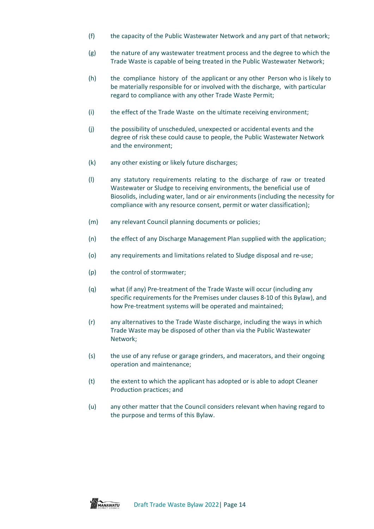- (f) the capacity of the Public Wastewater Network and any part of that network;
- (g) the nature of any wastewater treatment process and the degree to which the Trade Waste is capable of being treated in the Public Wastewater Network;
- (h) the compliance history of the applicant or any other Person who is likely to be materially responsible for or involved with the discharge, with particular regard to compliance with any other Trade Waste Permit;
- (i) the effect of the Trade Waste on the ultimate receiving environment;
- (j) the possibility of unscheduled, unexpected or accidental events and the degree of risk these could cause to people, the Public Wastewater Network and the environment;
- (k) any other existing or likely future discharges;
- (l) any statutory requirements relating to the discharge of raw or treated Wastewater or Sludge to receiving environments, the beneficial use of Biosolids, including water, land or air environments (including the necessity for compliance with any resource consent, permit or water classification);
- (m) any relevant Council planning documents or policies;
- (n) the effect of any Discharge Management Plan supplied with the application;
- (o) any requirements and limitations related to Sludge disposal and re-use;
- (p) the control of stormwater;
- (q) what (if any) Pre-treatment of the Trade Waste will occur (including any specific requirements for the Premises under clauses 8-10 of this Bylaw), and how Pre-treatment systems will be operated and maintained;
- (r) any alternatives to the Trade Waste discharge, including the ways in which Trade Waste may be disposed of other than via the Public Wastewater Network;
- (s) the use of any refuse or garage grinders, and macerators, and their ongoing operation and maintenance;
- (t) the extent to which the applicant has adopted or is able to adopt Cleaner Production practices; and
- (u) any other matter that the Council considers relevant when having regard to the purpose and terms of this Bylaw.

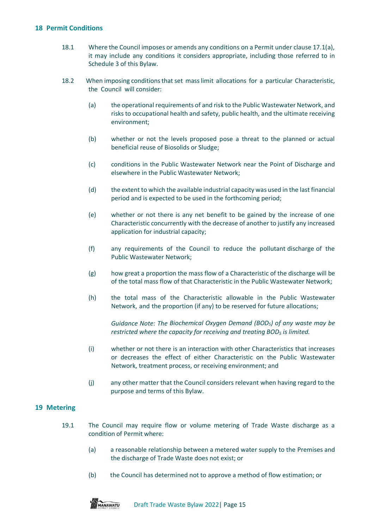## <span id="page-15-0"></span>**18 Permit Conditions**

- 18.1 Where the Council imposes or amends any conditions on a Permit under clause 17.1(a), it may include any conditions it considers appropriate, including those referred to in Schedule 3 of this Bylaw.
- 18.2 When imposing conditions that set mass limit allocations for a particular Characteristic, the Council will consider:
	- (a) the operational requirements of and risk to the Public Wastewater Network, and risks to occupational health and safety, public health, and the ultimate receiving environment;
	- (b) whether or not the levels proposed pose a threat to the planned or actual beneficial reuse of Biosolids or Sludge;
	- (c) conditions in the Public Wastewater Network near the Point of Discharge and elsewhere in the Public Wastewater Network;
	- (d) the extent to which the available industrial capacity was used in the last financial period and is expected to be used in the forthcoming period;
	- (e) whether or not there is any net benefit to be gained by the increase of one Characteristic concurrently with the decrease of another to justify any increased application for industrial capacity;
	- (f) any requirements of the Council to reduce the pollutant discharge of the Public Wastewater Network;
	- (g) how great a proportion the mass flow of a Characteristic of the discharge will be of the total mass flow of that Characteristic in the Public Wastewater Network;
	- (h) the total mass of the Characteristic allowable in the Public Wastewater Network, and the proportion (if any) to be reserved for future allocations;

*Guidance Note: The Biochemical Oxygen Demand (BOD5) of any waste may be restricted where the capacity for receiving and treating BOD<sup>5</sup> is limited.*

- (i) whether or not there is an interaction with other Characteristics that increases or decreases the effect of either Characteristic on the Public Wastewater Network, treatment process, or receiving environment; and
- (j) any other matter that the Council considers relevant when having regard to the purpose and terms of this Bylaw.

## <span id="page-15-1"></span>**19 Metering**

- 19.1 The Council may require flow or volume metering of Trade Waste discharge as a condition of Permit where:
	- (a) a reasonable relationship between a metered water supply to the Premises and the discharge of Trade Waste does not exist; or
	- (b) the Council has determined not to approve a method of flow estimation; or

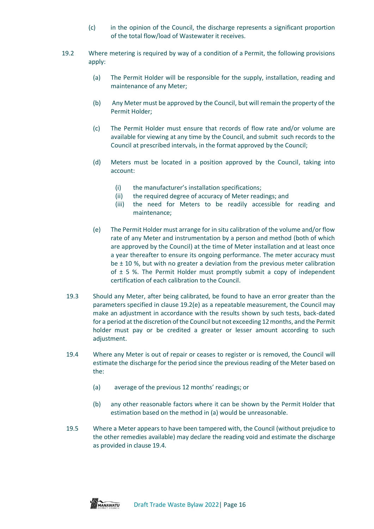- (c) in the opinion of the Council, the discharge represents a significant proportion of the total flow/load of Wastewater it receives.
- 19.2 Where metering is required by way of a condition of a Permit, the following provisions apply:
	- (a) The Permit Holder will be responsible for the supply, installation, reading and maintenance of any Meter;
	- (b) Any Meter must be approved by the Council, but will remain the property of the Permit Holder;
	- (c) The Permit Holder must ensure that records of flow rate and/or volume are available for viewing at any time by the Council, and submit such records to the Council at prescribed intervals, in the format approved by the Council;
	- (d) Meters must be located in a position approved by the Council, taking into account:
		- (i) the manufacturer's installation specifications;
		- (ii) the required degree of accuracy of Meter readings; and
		- (iii) the need for Meters to be readily accessible for reading and maintenance;
	- (e) The Permit Holder must arrange for in situ calibration of the volume and/or flow rate of any Meter and instrumentation by a person and method (both of which are approved by the Council) at the time of Meter installation and at least once a year thereafter to ensure its ongoing performance. The meter accuracy must be  $\pm$  10 %, but with no greater a deviation from the previous meter calibration of  $\pm$  5 %. The Permit Holder must promptly submit a copy of independent certification of each calibration to the Council.
	- 19.3 Should any Meter, after being calibrated, be found to have an error greater than the parameters specified in clause 19.2(e) as a repeatable measurement, the Council may make an adjustment in accordance with the results shown by such tests, back-dated for a period at the discretion of the Council but not exceeding 12 months, and the Permit holder must pay or be credited a greater or lesser amount according to such adjustment.
	- 19.4 Where any Meter is out of repair or ceases to register or is removed, the Council will estimate the discharge for the period since the previous reading of the Meter based on the:
		- (a) average of the previous 12 months' readings; or
		- (b) any other reasonable factors where it can be shown by the Permit Holder that estimation based on the method in (a) would be unreasonable.
	- 19.5 Where a Meter appears to have been tampered with, the Council (without prejudice to the other remedies available) may declare the reading void and estimate the discharge as provided in clause 19.4.

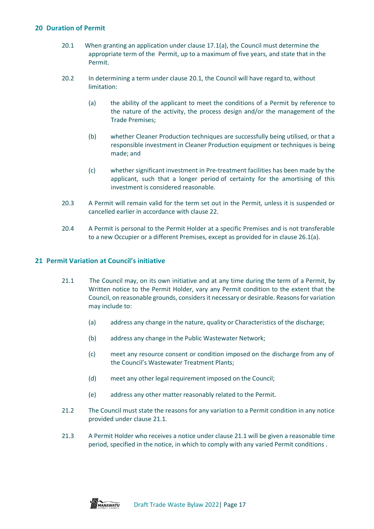## <span id="page-17-0"></span>**20 Duration of Permit**

- 20.1 When granting an application under clause 17.1(a), the Council must determine the appropriate term of the Permit, up to a maximum of five years, and state that in the Permit.
- 20.2 In determining a term under clause 20.1, the Council will have regard to, without limitation:
	- (a) the ability of the applicant to meet the conditions of a Permit by reference to the nature of the activity, the process design and/or the management of the Trade Premises;
	- (b) whether Cleaner Production techniques are successfully being utilised, or that a responsible investment in Cleaner Production equipment or techniques is being made; and
	- (c) whether significant investment in Pre-treatment facilities has been made by the applicant, such that a longer period of certainty for the amortising of this investment is considered reasonable.
- 20.3 A Permit will remain valid for the term set out in the Permit, unless it is suspended or cancelled earlier in accordance with clause 22.
- 20.4 A Permit is personal to the Permit Holder at a specific Premises and is not transferable to a new Occupier or a different Premises, except as provided for in clause 26.1(a).

## <span id="page-17-1"></span>**21 Permit Variation at Council's initiative**

- 21.1 The Council may, on its own initiative and at any time during the term of a Permit, by Written notice to the Permit Holder, vary any Permit condition to the extent that the Council, on reasonable grounds, considersit necessary or desirable. Reasonsfor variation may include to:
	- (a) address any change in the nature, quality or Characteristics of the discharge;
	- (b) address any change in the Public Wastewater Network;
	- (c) meet any resource consent or condition imposed on the discharge from any of the Council's Wastewater Treatment Plants;
	- (d) meet any other legal requirement imposed on the Council;
	- (e) address any other matter reasonably related to the Permit.
- 21.2 The Council must state the reasons for any variation to a Permit condition in any notice provided under clause 21.1.
- 21.3 A Permit Holder who receives a notice under clause 21.1 will be given a reasonable time period, specified in the notice, in which to comply with any varied Permit conditions .

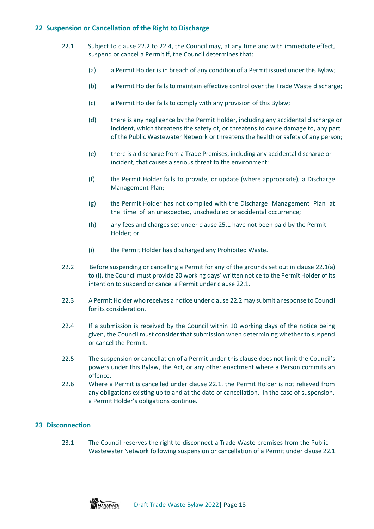## <span id="page-18-0"></span>**22 Suspension or Cancellation of the Right to Discharge**

- 22.1 Subject to clause 22.2 to 22.4, the Council may, at any time and with immediate effect, suspend or cancel a Permit if, the Council determines that:
	- (a) a Permit Holder is in breach of any condition of a Permit issued under this Bylaw;
	- (b) a Permit Holder fails to maintain effective control over the Trade Waste discharge;
	- (c) a Permit Holder fails to comply with any provision of this Bylaw;
	- (d) there is any negligence by the Permit Holder, including any accidental discharge or incident, which threatens the safety of, or threatens to cause damage to, any part of the Public Wastewater Network or threatens the health or safety of any person;
	- (e) there is a discharge from a Trade Premises, including any accidental discharge or incident, that causes a serious threat to the environment;
	- (f) the Permit Holder fails to provide, or update (where appropriate), a Discharge Management Plan;
	- (g) the Permit Holder has not complied with the Discharge Management Plan at the time of an unexpected, unscheduled or accidental occurrence;
	- (h) any fees and charges set under clause 25.1 have not been paid by the Permit Holder; or
	- (i) the Permit Holder has discharged any Prohibited Waste.
- 22.2 Before suspending or cancelling a Permit for any of the grounds set out in clause 22.1(a) to (i), the Council must provide 20 working days' written notice to the Permit Holder of its intention to suspend or cancel a Permit under clause 22.1.
- 22.3 A Permit Holder who receives a notice under clause 22.2 may submit a response to Council for its consideration.
- 22.4 If a submission is received by the Council within 10 working days of the notice being given, the Council must consider that submission when determining whether to suspend or cancel the Permit.
- 22.5 The suspension or cancellation of a Permit under this clause does not limit the Council's powers under this Bylaw, the Act, or any other enactment where a Person commits an offence.
- 22.6 Where a Permit is cancelled under clause 22.1, the Permit Holder is not relieved from any obligations existing up to and at the date of cancellation. In the case of suspension, a Permit Holder's obligations continue.

## <span id="page-18-1"></span>**23 Disconnection**

23.1 The Council reserves the right to disconnect a Trade Waste premises from the Public Wastewater Network following suspension or cancellation of a Permit under clause 22.1.

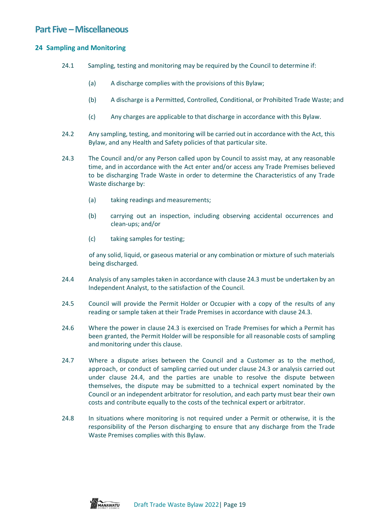## <span id="page-19-0"></span>**Part Five – Miscellaneous**

## <span id="page-19-1"></span>**24 Sampling and Monitoring**

- 24.1 Sampling, testing and monitoring may be required by the Council to determine if:
	- (a) A discharge complies with the provisions of this Bylaw;
	- (b) A discharge is a Permitted, Controlled, Conditional, or Prohibited Trade Waste; and
	- (c) Any charges are applicable to that discharge in accordance with this Bylaw.
- 24.2 Any sampling, testing, and monitoring will be carried out in accordance with the Act, this Bylaw, and any Health and Safety policies of that particular site.
- 24.3 The Council and/or any Person called upon by Council to assist may, at any reasonable time, and in accordance with the Act enter and/or access any Trade Premises believed to be discharging Trade Waste in order to determine the Characteristics of any Trade Waste discharge by:
	- (a) taking readings and measurements;
	- (b) carrying out an inspection, including observing accidental occurrences and clean-ups; and/or
	- (c) taking samples for testing;

of any solid, liquid, or gaseous material or any combination or mixture of such materials being discharged.

- 24.4 Analysis of any samples taken in accordance with clause 24.3 must be undertaken by an Independent Analyst, to the satisfaction of the Council.
- 24.5 Council will provide the Permit Holder or Occupier with a copy of the results of any reading or sample taken at their Trade Premises in accordance with clause 24.3.
- 24.6 Where the power in clause 24.3 is exercised on Trade Premises for which a Permit has been granted, the Permit Holder will be responsible for all reasonable costs of sampling and monitoring under this clause.
- 24.7 Where a dispute arises between the Council and a Customer as to the method, approach, or conduct of sampling carried out under clause 24.3 or analysis carried out under clause 24.4, and the parties are unable to resolve the dispute between themselves, the dispute may be submitted to a technical expert nominated by the Council or an independent arbitrator for resolution, and each party must bear their own costs and contribute equally to the costs of the technical expert or arbitrator.
- 24.8 In situations where monitoring is not required under a Permit or otherwise, it is the responsibility of the Person discharging to ensure that any discharge from the Trade Waste Premises complies with this Bylaw.

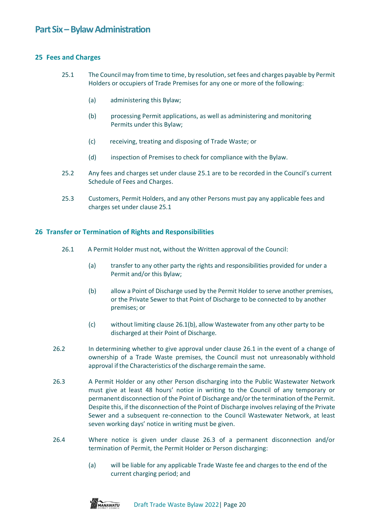## <span id="page-20-1"></span><span id="page-20-0"></span>**25 Fees and Charges**

- 25.1 The Council may from time to time, by resolution, set fees and charges payable by Permit Holders or occupiers of Trade Premises for any one or more of the following:
	- (a) administering this Bylaw;
	- (b) processing Permit applications, as well as administering and monitoring Permits under this Bylaw;
	- (c) receiving, treating and disposing of Trade Waste; or
	- (d) inspection of Premises to check for compliance with the Bylaw.
- 25.2 Any fees and charges set under clause 25.1 are to be recorded in the Council's current Schedule of Fees and Charges.
- 25.3 Customers, Permit Holders, and any other Persons must pay any applicable fees and charges set under clause 25.1

## <span id="page-20-2"></span>**26 Transfer or Termination of Rights and Responsibilities**

- 26.1 A Permit Holder must not, without the Written approval of the Council:
	- (a) transfer to any other party the rights and responsibilities provided for under a Permit and/or this Bylaw;
	- (b) allow a Point of Discharge used by the Permit Holder to serve another premises, or the Private Sewer to that Point of Discharge to be connected to by another premises; or
	- (c) without limiting clause 26.1(b), allow Wastewater from any other party to be discharged at their Point of Discharge.
- 26.2 In determining whether to give approval under clause 26.1 in the event of a change of ownership of a Trade Waste premises, the Council must not unreasonably withhold approval ifthe Characteristics of the discharge remain the same.
- 26.3 A Permit Holder or any other Person discharging into the Public Wastewater Network must give at least 48 hours' notice in writing to the Council of any temporary or permanent disconnection of the Point of Discharge and/orthe termination of the Permit. Despite this, if the disconnection of the Point of Discharge involves relaying of the Private Sewer and a subsequent re-connection to the Council Wastewater Network, at least seven working days' notice in writing must be given.
- 26.4 Where notice is given under clause 26.3 of a permanent disconnection and/or termination of Permit, the Permit Holder or Person discharging:
	- (a) will be liable for any applicable Trade Waste fee and charges to the end of the current charging period; and

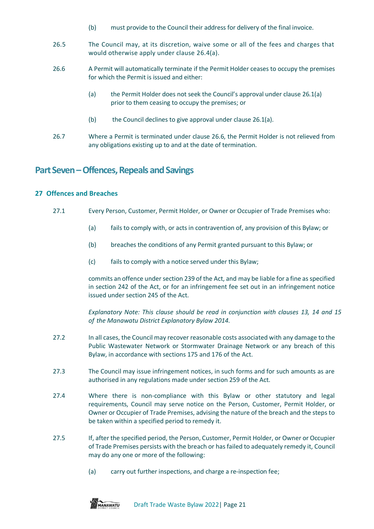- (b) must provide to the Council their address for delivery of the final invoice.
- 26.5 The Council may, at its discretion, waive some or all of the fees and charges that would otherwise apply under clause 26.4(a).
- 26.6 A Permit will automatically terminate if the Permit Holder ceases to occupy the premises for which the Permit is issued and either:
	- (a) the Permit Holder does not seek the Council's approval under clause 26.1(a) prior to them ceasing to occupy the premises; or
	- (b) the Council declines to give approval under clause 26.1(a).
- 26.7 Where a Permit is terminated under clause 26.6, the Permit Holder is not relieved from any obligations existing up to and at the date of termination.

## <span id="page-21-0"></span>**Part Seven –Offences, Repeals and Savings**

## <span id="page-21-1"></span>**27 Offences and Breaches**

- 27.1 Every Person, Customer, Permit Holder, or Owner or Occupier of Trade Premises who:
	- (a) fails to comply with, or acts in contravention of, any provision of this Bylaw; or
	- (b) breaches the conditions of any Permit granted pursuant to this Bylaw; or
	- (c) fails to comply with a notice served under this Bylaw;

commits an offence under section 239 of the Act, and may be liable for a fine as specified in section 242 of the Act, or for an infringement fee set out in an infringement notice issued under section 245 of the Act.

*Explanatory Note: This clause should be read in conjunction with clauses 13, 14 and 15 of the Manawatu District Explanatory Bylaw 2014.*

- 27.2 In all cases, the Council may recover reasonable costs associated with any damage to the Public Wastewater Network or Stormwater Drainage Network or any breach of this Bylaw, in accordance with sections 175 and 176 of the Act.
- 27.3 The Council may issue infringement notices, in such forms and for such amounts as are authorised in any regulations made under section 259 of the Act.
- 27.4 Where there is non-compliance with this Bylaw or other statutory and legal requirements, Council may serve notice on the Person, Customer, Permit Holder, or Owner or Occupier of Trade Premises, advising the nature of the breach and the steps to be taken within a specified period to remedy it.
- 27.5 If, after the specified period, the Person, Customer, Permit Holder, or Owner or Occupier of Trade Premises persists with the breach or has failed to adequately remedy it, Council may do any one or more of the following:
	- (a) carry out further inspections, and charge a re-inspection fee;

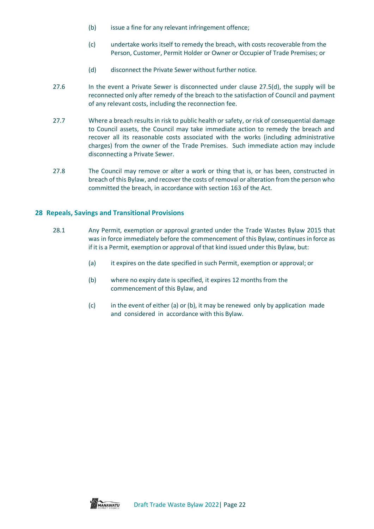- (b) issue a fine for any relevant infringement offence;
- (c) undertake works itself to remedy the breach, with costs recoverable from the Person, Customer, Permit Holder or Owner or Occupier of Trade Premises; or
- (d) disconnect the Private Sewer without further notice.
- 27.6 In the event a Private Sewer is disconnected under clause 27.5(d), the supply will be reconnected only after remedy of the breach to the satisfaction of Council and payment of any relevant costs, including the reconnection fee.
- 27.7 Where a breach results in risk to public health or safety, or risk of consequential damage to Council assets, the Council may take immediate action to remedy the breach and recover all its reasonable costs associated with the works (including administrative charges) from the owner of the Trade Premises. Such immediate action may include disconnecting a Private Sewer.
- 27.8 The Council may remove or alter a work or thing that is, or has been, constructed in breach of this Bylaw, and recover the costs of removal or alteration from the person who committed the breach, in accordance with section 163 of the Act.

## <span id="page-22-0"></span>**28 Repeals, Savings and Transitional Provisions**

- 28.1 Any Permit, exemption or approval granted under the Trade Wastes Bylaw 2015 that was in force immediately before the commencement of this Bylaw, continues in force as if it is a Permit, exemption or approval of that kind issued under this Bylaw, but:
	- (a) it expires on the date specified in such Permit, exemption or approval; or
	- (b) where no expiry date is specified, it expires 12 months from the commencement of this Bylaw, and
	- (c) in the event of either (a) or (b), it may be renewed only by application made and considered in accordance with this Bylaw.

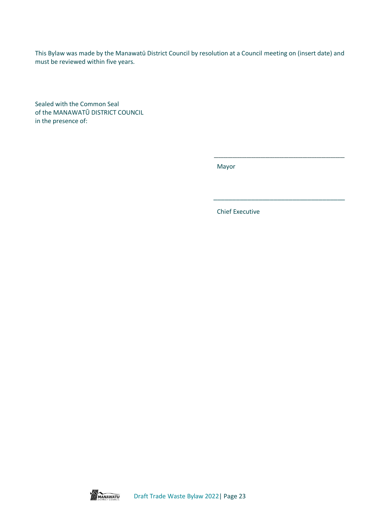This Bylaw was made by the Manawatū District Council by resolution at a Council meeting on (insert date) and must be reviewed within five years.

Sealed with the Common Seal of the MANAWATŪ DISTRICT COUNCIL in the presence of:

Mayor

Chief Executive

\_\_\_\_\_\_\_\_\_\_\_\_\_\_\_\_\_\_\_\_\_\_\_\_\_\_\_\_\_\_\_\_\_\_\_\_\_\_\_\_\_\_\_\_\_\_\_\_\_\_\_\_\_\_\_\_

\_\_\_\_\_\_\_\_\_\_\_\_\_\_\_\_\_\_\_\_\_\_\_\_\_\_\_\_\_\_\_\_\_\_\_

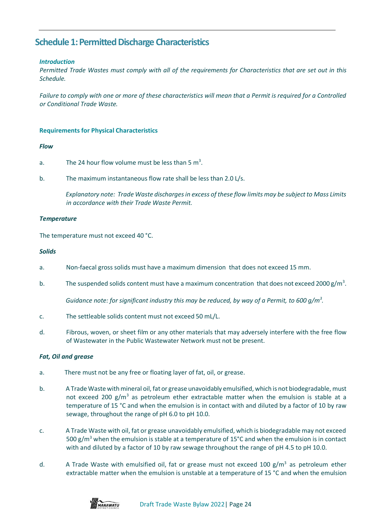## <span id="page-24-0"></span>**Schedule 1: Permitted Discharge Characteristics**

## *Introduction*

*Permitted Trade Wastes must comply with all of the requirements for Characteristics that are set out in this Schedule.* 

*Failure to comply with one or more of these characteristics will mean that a Permit is required for a Controlled or Conditional Trade Waste.*

#### **Requirements for Physical Characteristics**

#### *Flow*

- a. The 24 hour flow volume must be less than 5  $m<sup>3</sup>$ .
- b. The maximum instantaneous flow rate shall be less than 2.0 L/s.

*Explanatory note: Trade Waste dischargesin excess of these flow limits may be subjectto Mass Limits in accordance with their Trade Waste Permit.*

#### *Temperature*

The temperature must not exceed 40 °C.

#### *Solids*

- a. Non-faecal gross solids must have a maximum dimension that does not exceed 15 mm.
- b. The suspended solids content must have a maximum concentration that does not exceed 2000  $g/m^3$ .

*Guidance note: for significant industry this may be reduced, by way of a Permit, to 600 g/m<sup>3</sup> .*

- c. The settleable solids content must not exceed 50 mL/L.
- d. Fibrous, woven, or sheet film or any other materials that may adversely interfere with the free flow of Wastewater in the Public Wastewater Network must not be present.

## *Fat, Oil and grease*

- a. There must not be any free or floating layer of fat, oil, or grease.
- b. A Trade Waste with mineral oil, fat or grease unavoidably emulsified, which is not biodegradable, must not exceed 200  $g/m^3$  as petroleum ether extractable matter when the emulsion is stable at a temperature of 15 °C and when the emulsion is in contact with and diluted by a factor of 10 by raw sewage, throughout the range of pH 6.0 to pH 10.0.
- c. A Trade Waste with oil, fat or grease unavoidably emulsified, which is biodegradable may not exceed 500 g/m<sup>3</sup> when the emulsion is stable at a temperature of 15°C and when the emulsion is in contact with and diluted by a factor of 10 by raw sewage throughout the range of pH 4.5 to pH 10.0.
- d. A Trade Waste with emulsified oil, fat or grease must not exceed 100  $\text{g/m}^3$  as petroleum ether extractable matter when the emulsion is unstable at a temperature of 15 °C and when the emulsion

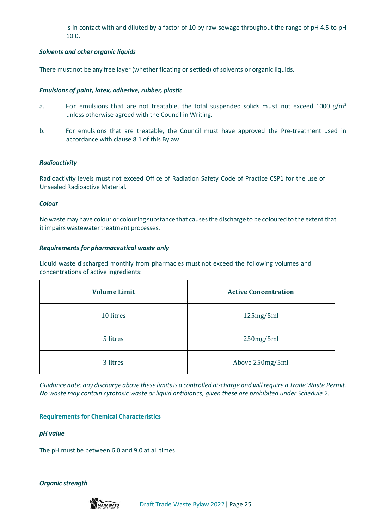is in contact with and diluted by a factor of 10 by raw sewage throughout the range of pH 4.5 to pH 10.0.

## *Solvents and other organic liquids*

There must not be any free layer (whether floating or settled) of solvents or organic liquids.

## *Emulsions of paint, latex, adhesive, rubber, plastic*

- a. For emulsions that are not treatable, the total suspended solids must not exceed 1000 g/m<sup>3</sup> unless otherwise agreed with the Council in Writing.
- b. For emulsions that are treatable, the Council must have approved the Pre-treatment used in accordance with clause 8.1 of this Bylaw.

## *Radioactivity*

Radioactivity levels must not exceed Office of Radiation Safety Code of Practice CSP1 for the use of Unsealed Radioactive Material.

## *Colour*

No wastemay have colour or colouring substance that causesthe discharge to be coloured to the extent that it impairs wastewater treatment processes.

## *Requirements for pharmaceutical waste only*

Liquid waste discharged monthly from pharmacies must not exceed the following volumes and concentrations of active ingredients:

| <b>Volume Limit</b> | <b>Active Concentration</b> |
|---------------------|-----------------------------|
| 10 litres           | 125mg/5ml                   |
| 5 litres            | 250mg/5ml                   |
| 3 litres            | Above 250mg/5ml             |

*Guidance note: any discharge above these limits is a controlled discharge and will require a Trade Waste Permit. No waste may contain cytotoxic waste or liquid antibiotics, given these are prohibited under Schedule 2.*

## **Requirements for Chemical Characteristics**

## *pH value*

The pH must be between 6.0 and 9.0 at all times.

*Organic strength*

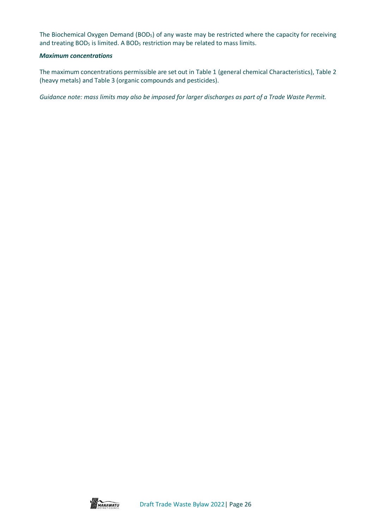The Biochemical Oxygen Demand (BOD<sub>5</sub>) of any waste may be restricted where the capacity for receiving and treating BOD<sub>5</sub> is limited. A BOD<sub>5</sub> restriction may be related to mass limits.

#### *Maximum concentrations*

The maximum concentrations permissible are set out in Table 1 (general chemical Characteristics), Table 2 (heavy metals) and Table 3 (organic compounds and pesticides).

*Guidance note: mass limits may also be imposed for larger discharges as part of a Trade Waste Permit.*

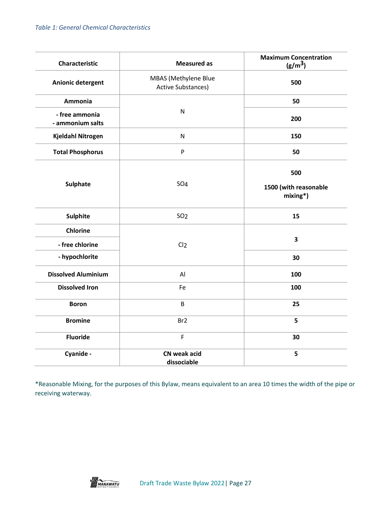| Characteristic                     | <b>Measured as</b>                                | <b>Maximum Concentration</b><br>(g/m <sup>3</sup> ) |
|------------------------------------|---------------------------------------------------|-----------------------------------------------------|
| Anionic detergent                  | MBAS (Methylene Blue<br><b>Active Substances)</b> | 500                                                 |
| <b>Ammonia</b>                     |                                                   | 50                                                  |
| - free ammonia<br>- ammonium salts | $\mathsf{N}$                                      | 200                                                 |
| Kjeldahl Nitrogen                  | ${\sf N}$                                         | 150                                                 |
| <b>Total Phosphorus</b>            | P                                                 | 50                                                  |
| <b>Sulphate</b>                    | <b>SO4</b>                                        | 500<br>1500 (with reasonable<br>$mixing^*$ )        |
| <b>Sulphite</b>                    | SO <sub>2</sub>                                   | 15                                                  |
| <b>Chlorine</b><br>- free chlorine | Cl <sub>2</sub>                                   | 3                                                   |
| - hypochlorite                     |                                                   | 30                                                  |
| <b>Dissolved Aluminium</b>         | AI                                                | 100                                                 |
| <b>Dissolved Iron</b>              | Fe                                                | 100                                                 |
| <b>Boron</b>                       | B                                                 | 25                                                  |
| <b>Bromine</b>                     | Br <sub>2</sub>                                   | 5                                                   |
| <b>Fluoride</b>                    | $\mathsf{F}$                                      | 30                                                  |
| Cyanide -                          | CN weak acid<br>dissociable                       | 5                                                   |

\*Reasonable Mixing, for the purposes of this Bylaw, means equivalent to an area 10 times the width of the pipe or receiving waterway.

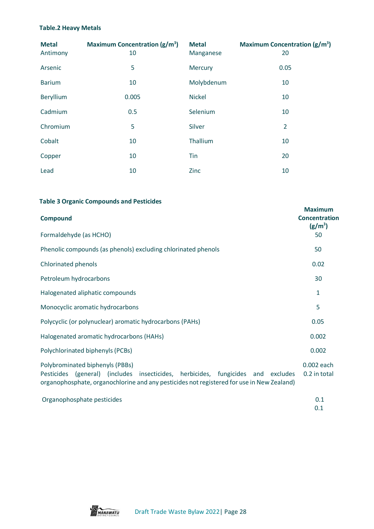## **Table.2 Heavy Metals**

| <b>Metal</b><br>Antimony | Maximum Concentration $(g/m^3)$<br>10 | <b>Metal</b><br>Manganese | <b>Maximum Concentration (g/m<sup>3</sup>)</b><br>20 |
|--------------------------|---------------------------------------|---------------------------|------------------------------------------------------|
| Arsenic                  | 5                                     | Mercury                   | 0.05                                                 |
| <b>Barium</b>            | 10                                    | Molybdenum                | 10                                                   |
| Beryllium                | 0.005                                 | <b>Nickel</b>             | 10                                                   |
| Cadmium                  | 0.5                                   | Selenium                  | 10                                                   |
| Chromium                 | 5                                     | Silver                    | $\overline{2}$                                       |
| Cobalt                   | 10                                    | Thallium                  | 10                                                   |
| Copper                   | 10                                    | Tin                       | 20                                                   |
| Lead                     | 10                                    | Zinc                      | 10                                                   |

## **Table 3 Organic Compounds and Pesticides**

| <b>Compound</b><br>Formaldehyde (as HCHO)                                                                                                                                                                           | <b>Maximum</b><br><b>Concentration</b><br>$(g/m^3)$<br>50 |
|---------------------------------------------------------------------------------------------------------------------------------------------------------------------------------------------------------------------|-----------------------------------------------------------|
| Phenolic compounds (as phenols) excluding chlorinated phenols                                                                                                                                                       | 50                                                        |
| Chlorinated phenols                                                                                                                                                                                                 | 0.02                                                      |
| Petroleum hydrocarbons                                                                                                                                                                                              | 30                                                        |
| Halogenated aliphatic compounds                                                                                                                                                                                     | 1                                                         |
| Monocyclic aromatic hydrocarbons                                                                                                                                                                                    | 5                                                         |
| Polycyclic (or polynuclear) aromatic hydrocarbons (PAHs)                                                                                                                                                            | 0.05                                                      |
| Halogenated aromatic hydrocarbons (HAHs)                                                                                                                                                                            | 0.002                                                     |
| Polychlorinated biphenyls (PCBs)                                                                                                                                                                                    | 0.002                                                     |
| Polybrominated biphenyls (PBBs)<br>(general) (includes insecticides, herbicides, fungicides and excludes<br>Pesticides<br>organophosphate, organochlorine and any pesticides not registered for use in New Zealand) | 0.002 each<br>0.2 in total                                |
| Organophosphate pesticides                                                                                                                                                                                          | 0.1<br>0.1                                                |

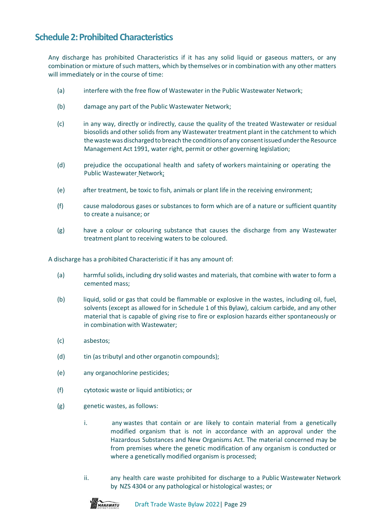## <span id="page-29-0"></span>**Schedule 2: Prohibited Characteristics**

Any discharge has prohibited Characteristics if it has any solid liquid or gaseous matters, or any combination or mixture of such matters, which by themselves or in combination with any other matters will immediately or in the course of time:

- (a) interfere with the free flow of Wastewater in the Public Wastewater Network;
- (b) damage any part of the Public Wastewater Network;
- (c) in any way, directly or indirectly, cause the quality of the treated Wastewater or residual biosolids and other solids from any Wastewater treatment plant in the catchment to which thewastewas dischargedto breach the conditionsof any consentissuedunderthe Resource Management Act 1991, water right, permit or other governing legislation;
- (d) prejudice the occupational health and safety of workers maintaining or operating the Public Wastewater Network;
- (e) after treatment, be toxic to fish, animals or plant life in the receiving environment;
- (f) cause malodorous gases or substances to form which are of a nature or sufficient quantity to create a nuisance; or
- (g) have a colour or colouring substance that causes the discharge from any Wastewater treatment plant to receiving waters to be coloured.

A discharge has a prohibited Characteristic if it has any amount of:

- (a) harmful solids, including dry solid wastes and materials, that combine with water to form a cemented mass;
- (b) liquid, solid or gas that could be flammable or explosive in the wastes, including oil, fuel, solvents (except as allowed for in Schedule 1 of this Bylaw), calcium carbide, and any other material that is capable of giving rise to fire or explosion hazards either spontaneously or in combination with Wastewater;
- (c) asbestos;
- (d) tin (as tributyl and other organotin compounds);
- (e) any organochlorine pesticides;
- (f) cytotoxic waste or liquid antibiotics; or
- (g) genetic wastes, as follows:
	- i. any wastes that contain or are likely to contain material from a genetically modified organism that is not in accordance with an approval under the Hazardous Substances and New Organisms Act. The material concerned may be from premises where the genetic modification of any organism is conducted or where a genetically modified organism is processed;
	- ii. any health care waste prohibited for discharge to a Public Wastewater Network by NZS 4304 or any pathological or histological wastes; or

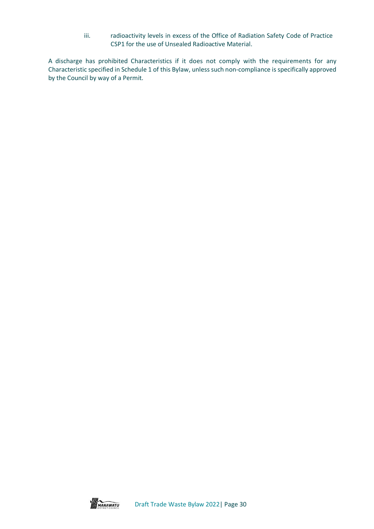iii. radioactivity levels in excess of the Office of Radiation Safety Code of Practice CSP1 for the use of Unsealed Radioactive Material.

A discharge has prohibited Characteristics if it does not comply with the requirements for any Characteristic specified in Schedule 1 of this Bylaw, unless such non-compliance is specifically approved by the Council by way of a Permit.

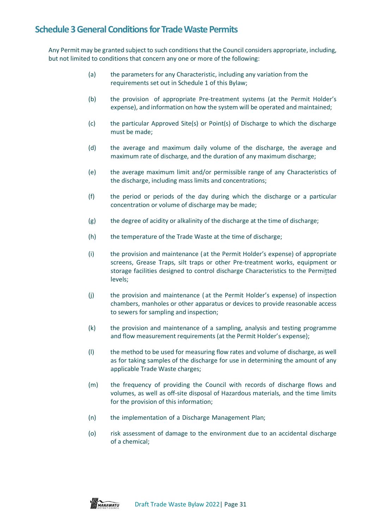## <span id="page-31-0"></span>**Schedule 3 General Conditions for Trade Waste Permits**

Any Permit may be granted subject to such conditions that the Council considers appropriate, including, but not limited to conditions that concern any one or more of the following:

- (a) the parameters for any Characteristic, including any variation from the requirements set out in Schedule 1 of this Bylaw;
- (b) the provision of appropriate Pre-treatment systems (at the Permit Holder's expense), and information on how the system will be operated and maintained;
- (c) the particular Approved Site(s) or Point(s) of Discharge to which the discharge must be made;
- (d) the average and maximum daily volume of the discharge, the average and maximum rate of discharge, and the duration of any maximum discharge;
- (e) the average maximum limit and/or permissible range of any Characteristics of the discharge, including mass limits and concentrations;
- (f) the period or periods of the day during which the discharge or a particular concentration or volume of discharge may be made;
- (g) the degree of acidity or alkalinity of the discharge at the time of discharge;
- (h) the temperature of the Trade Waste at the time of discharge;
- (i) the provision and maintenance (at the Permit Holder's expense) of appropriate screens, Grease Traps, silt traps or other Pre-treatment works, equipment or storage facilities designed to control discharge Characteristics to the Permitted levels;
- (j) the provision and maintenance ( at the Permit Holder's expense) of inspection chambers, manholes or other apparatus or devices to provide reasonable access to sewers for sampling and inspection;
- (k) the provision and maintenance of a sampling, analysis and testing programme and flow measurement requirements (at the Permit Holder's expense);
- (l) the method to be used for measuring flow rates and volume of discharge, as well as for taking samples of the discharge for use in determining the amount of any applicable Trade Waste charges;
- (m) the frequency of providing the Council with records of discharge flows and volumes, as well as off-site disposal of Hazardous materials, and the time limits for the provision of this information;
- (n) the implementation of a Discharge Management Plan;
- (o) risk assessment of damage to the environment due to an accidental discharge of a chemical;